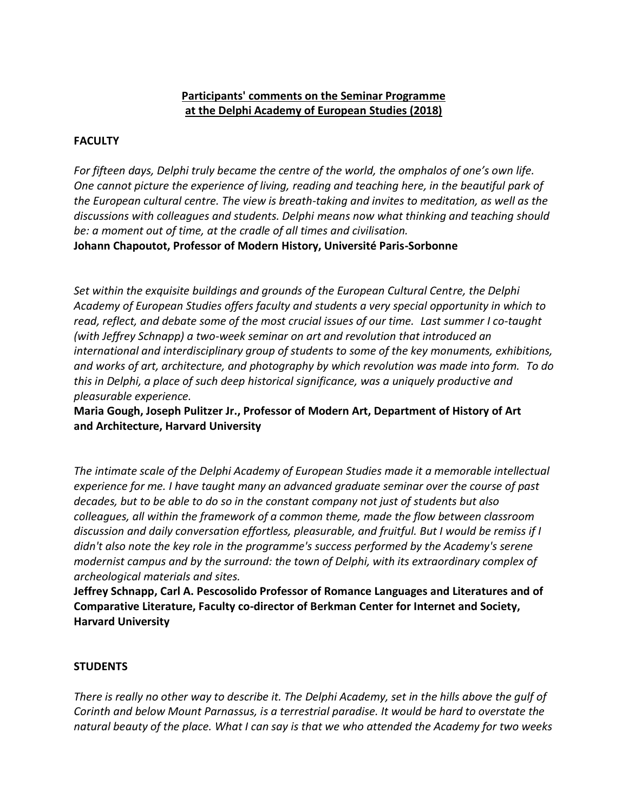## **Participants' comments on the Seminar Programme at the Delphi Academy of European Studies (2018)**

## **FACULTY**

*For fifteen days, Delphi truly became the centre of the world, the omphalos of one's own life. One cannot picture the experience of living, reading and teaching here, in the beautiful park of the European cultural centre. The view is breath-taking and invites to meditation, as well as the discussions with colleagues and students. Delphi means now what thinking and teaching should be: a moment out of time, at the cradle of all times and civilisation.*

**Johann Chapoutot, Professor of Modern History, Université Paris-Sorbonne**

*Set within the exquisite buildings and grounds of the European Cultural Centre, the Delphi Academy of European Studies offers faculty and students a very special opportunity in which to read, reflect, and debate some of the most crucial issues of our time. Last summer I co-taught (with Jeffrey Schnapp) a two-week seminar on art and revolution that introduced an international and interdisciplinary group of students to some of the key monuments, exhibitions, and works of art, architecture, and photography by which revolution was made into form. To do this in Delphi, a place of such deep historical significance, was a uniquely productive and pleasurable experience.*

**Maria Gough, Joseph Pulitzer Jr., Professor of Modern Art, Department of History of Art and Architecture, Harvard University**

*The intimate scale of the Delphi Academy of European Studies made it a memorable intellectual experience for me. I have taught many an advanced graduate seminar over the course of past decades, but to be able to do so in the constant company not just of students but also colleagues, all within the framework of a common theme, made the flow between classroom discussion and daily conversation effortless, pleasurable, and fruitful. But I would be remiss if I didn't also note the key role in the programme's success performed by the Academy's serene modernist campus and by the surround: the town of Delphi, with its extraordinary complex of archeological materials and sites.*

**Jeffrey Schnapp, Carl A. Pescosolido Professor of Romance Languages and Literatures and of Comparative Literature, Faculty co-director of Berkman Center for Internet and Society, Harvard University**

## **STUDENTS**

*There is really no other way to describe it. The Delphi Academy, set in the hills above the gulf of Corinth and below Mount Parnassus, is a terrestrial paradise. It would be hard to overstate the natural beauty of the place. What I can say is that we who attended the Academy for two weeks*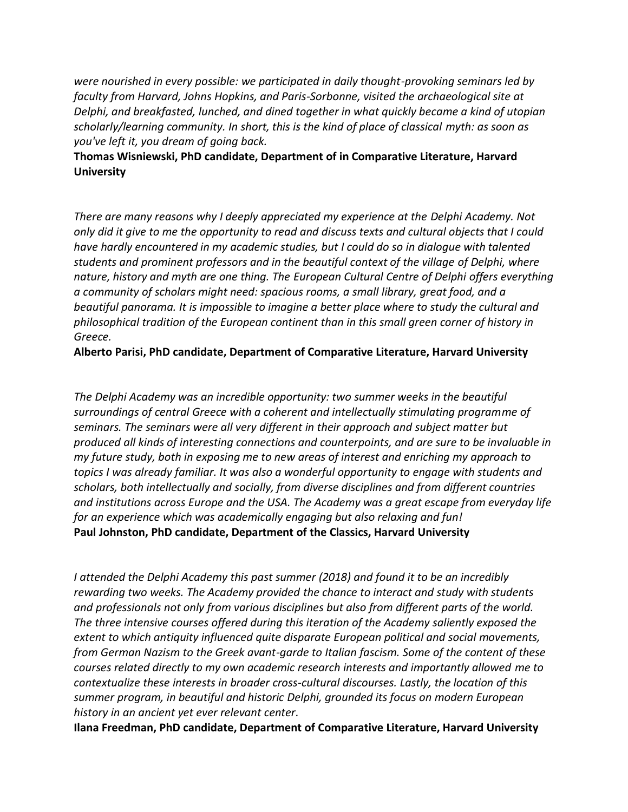*were nourished in every possible: we participated in daily thought-provoking seminars led by faculty from Harvard, Johns Hopkins, and Paris-Sorbonne, visited the archaeological site at Delphi, and breakfasted, lunched, and dined together in what quickly became a kind of utopian scholarly/learning community. In short, this is the kind of place of classical myth: as soon as you've left it, you dream of going back.*

## **Thomas Wisniewski, PhD candidate, Department of in Comparative Literature, Harvard University**

*There are many reasons why I deeply appreciated my experience at the Delphi Academy. Not only did it give to me the opportunity to read and discuss texts and cultural objects that I could have hardly encountered in my academic studies, but I could do so in dialogue with talented students and prominent professors and in the beautiful context of the village of Delphi, where nature, history and myth are one thing. The European Cultural Centre of Delphi offers everything a community of scholars might need: spacious rooms, a small library, great food, and a beautiful panorama. It is impossible to imagine a better place where to study the cultural and philosophical tradition of the European continent than in this small green corner of history in Greece.*

**Alberto Parisi, PhD candidate, Department of Comparative Literature, Harvard University**

*The Delphi Academy was an incredible opportunity: two summer weeks in the beautiful surroundings of central Greece with a coherent and intellectually stimulating programme of seminars. The seminars were all very different in their approach and subject matter but produced all kinds of interesting connections and counterpoints, and are sure to be invaluable in my future study, both in exposing me to new areas of interest and enriching my approach to topics I was already familiar. It was also a wonderful opportunity to engage with students and scholars, both intellectually and socially, from diverse disciplines and from different countries and institutions across Europe and the USA. The Academy was a great escape from everyday life for an experience which was academically engaging but also relaxing and fun!* **Paul Johnston, PhD candidate, Department of the Classics, Harvard University**

*I attended the Delphi Academy this past summer (2018) and found it to be an incredibly rewarding two weeks. The Academy provided the chance to interact and study with students and professionals not only from various disciplines but also from different parts of the world. The three intensive courses offered during this iteration of the Academy saliently exposed the extent to which antiquity influenced quite disparate European political and social movements, from German Nazism to the Greek avant-garde to Italian fascism. Some of the content of these courses related directly to my own academic research interests and importantly allowed me to contextualize these interests in broader cross-cultural discourses. Lastly, the location of this summer program, in beautiful and historic Delphi, grounded its focus on modern European history in an ancient yet ever relevant center.*

**Ilana Freedman, PhD candidate, Department of Comparative Literature, Harvard University**